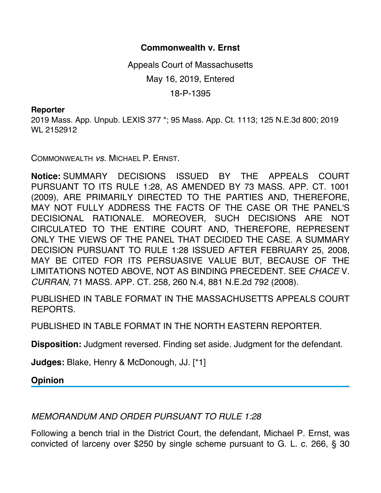## **Commonwealth v. Ernst**

Appeals Court of Massachusetts May 16, 2019, Entered 18-P-1395

## **Reporter**

2019 Mass. App. Unpub. LEXIS 377 \*; 95 Mass. App. Ct. 1113; 125 N.E.3d 800; 2019 WL 2152912

COMMONWEALTH *vs*. MICHAEL P. ERNST.

**Notice:** SUMMARY DECISIONS ISSUED BY THE APPEALS COURT PURSUANT TO ITS RULE 1:28, AS AMENDED BY 73 MASS. APP. CT. 1001 (2009), ARE PRIMARILY DIRECTED TO THE PARTIES AND, THEREFORE, MAY NOT FULLY ADDRESS THE FACTS OF THE CASE OR THE PANEL'S DECISIONAL RATIONALE. MOREOVER, SUCH DECISIONS ARE NOT CIRCULATED TO THE ENTIRE COURT AND, THEREFORE, REPRESENT ONLY THE VIEWS OF THE PANEL THAT DECIDED THE CASE. A SUMMARY DECISION PURSUANT TO RULE 1:28 ISSUED AFTER FEBRUARY 25, 2008, MAY BE CITED FOR ITS PERSUASIVE VALUE BUT, BECAUSE OF THE LIMITATIONS NOTED ABOVE, NOT AS BINDING PRECEDENT. SEE *CHACE* V. *CURRAN*, 71 MASS. APP. CT. 258, 260 N.4, 881 N.E.2d 792 (2008).

PUBLISHED IN TABLE FORMAT IN THE MASSACHUSETTS APPEALS COURT REPORTS.

PUBLISHED IN TABLE FORMAT IN THE NORTH EASTERN REPORTER.

**Disposition:** Judgment reversed. Finding set aside. Judgment for the defendant.

**Judges:** Blake, Henry & McDonough, JJ. [\*1]

**Opinion**

## *MEMORANDUM AND ORDER PURSUANT TO RULE 1:28*

Following a bench trial in the District Court, the defendant, Michael P. Ernst, was convicted of larceny over \$250 by single scheme pursuant to G. L. c. 266, § 30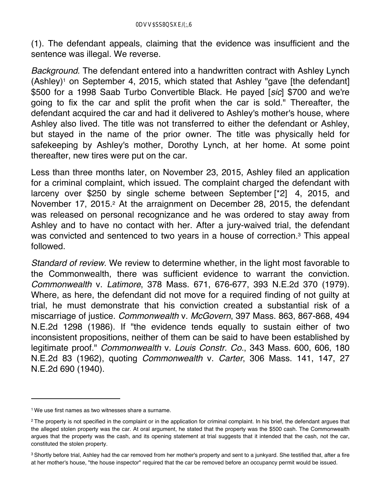(1). The defendant appeals, claiming that the evidence was insufficient and the sentence was illegal. We reverse.

*Background*. The defendant entered into a handwritten contract with Ashley Lynch  $(Ashley)^1$  on September 4, 2015, which stated that Ashley "gave [the defendant] \$500 for a 1998 Saab Turbo Convertible Black. He payed [*sic*] \$700 and we're going to fix the car and split the profit when the car is sold." Thereafter, the defendant acquired the car and had it delivered to Ashley's mother's house, where Ashley also lived. The title was not transferred to either the defendant or Ashley, but stayed in the name of the prior owner. The title was physically held for safekeeping by Ashley's mother, Dorothy Lynch, at her home. At some point thereafter, new tires were put on the car.

Less than three months later, on November 23, 2015, Ashley filed an application for a criminal complaint, which issued. The complaint charged the defendant with larceny over \$250 by single scheme between September [\*2] 4, 2015, and November 17, 2015.<sup>2</sup> At the arraignment on December 28, 2015, the defendant was released on personal recognizance and he was ordered to stay away from Ashley and to have no contact with her. After a jury-waived trial, the defendant was convicted and sentenced to two years in a house of correction.<sup>3</sup> This appeal followed.

*Standard of review*. We review to determine whether, in the light most favorable to the Commonwealth, there was sufficient evidence to warrant the conviction. *Commonwealth* v. *Latimore*, 378 Mass. 671, 676-677, 393 N.E.2d 370 (1979). Where, as here, the defendant did not move for a required finding of not guilty at trial, he must demonstrate that his conviction created a substantial risk of a miscarriage of justice. *Commonwealth* v. *McGovern*, 397 Mass. 863, 867-868, 494 N.E.2d 1298 (1986). If "the evidence tends equally to sustain either of two inconsistent propositions, neither of them can be said to have been established by legitimate proof." *Commonwealth* v. *Louis Constr. Co.*, 343 Mass. 600, 606, 180 N.E.2d 83 (1962), quoting *Commonwealth* v. *Carter*, 306 Mass. 141, 147, 27 N.E.2d 690 (1940).

<sup>&</sup>lt;sup>1</sup> We use first names as two witnesses share a surname.

<sup>&</sup>lt;sup>2</sup> The property is not specified in the complaint or in the application for criminal complaint. In his brief, the defendant argues that the alleged stolen property was the car. At oral argument, he stated that the property was the \$500 cash. The Commonwealth argues that the property was the cash, and its opening statement at trial suggests that it intended that the cash, not the car, constituted the stolen property.

<sup>&</sup>lt;sup>3</sup> Shortly before trial, Ashley had the car removed from her mother's property and sent to a junkyard. She testified that, after a fire at her mother's house, "the house inspector" required that the car be removed before an occupancy permit would be issued.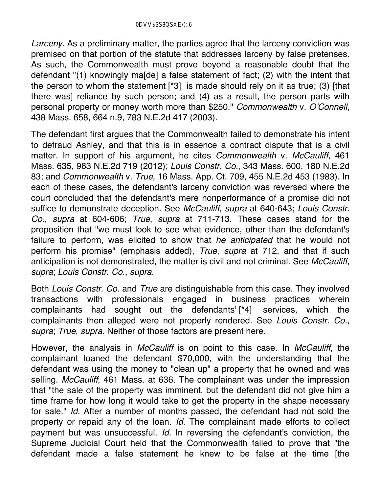*Larceny*. As a preliminary matter, the parties agree that the larceny conviction was premised on that portion of the statute that addresses larceny by false pretenses. As such, the Commonwealth must prove beyond a reasonable doubt that the defendant "(1) knowingly ma[de] a false statement of fact; (2) with the intent that the person to whom the statement [\*3] is made should rely on it as true; (3) [that there was] reliance by such person; and (4) as a result, the person parts with personal property or money worth more than \$250." *Commonwealth* v. *O'Connell*, 438 Mass. 658, 664 n.9, 783 N.E.2d 417 (2003).

The defendant first argues that the Commonwealth failed to demonstrate his intent to defraud Ashley, and that this is in essence a contract dispute that is a civil matter. In support of his argument, he cites *Commonwealth* v. *McCauliff*, 461 Mass. 635, 963 N.E.2d 719 (2012); *Louis Constr. Co.*, 343 Mass. 600, 180 N.E.2d 83; and *Commonwealth* v. *True*, 16 Mass. App. Ct. 709, 455 N.E.2d 453 (1983). In each of these cases, the defendant's larceny conviction was reversed where the court concluded that the defendant's mere nonperformance of a promise did not suffice to demonstrate deception. See *McCauliff*, *supra* at 640-643; *Louis Constr. Co.*, *supra* at 604-606; *True*, *supra* at 711-713. These cases stand for the proposition that "we must look to see what evidence, other than the defendant's failure to perform, was elicited to show that *he anticipated* that he would not perform his promise" (emphasis added), *True*, *supra* at 712, and that if such anticipation is not demonstrated, the matter is civil and not criminal. See *McCauliff*, *supra*; *Louis Constr. Co.*, *supra*.

Both *Louis Constr. Co.* and *True* are distinguishable from this case. They involved transactions with professionals engaged in business practices wherein complainants had sought out the defendants' [\*4] services, which the complainants then alleged were not properly rendered. See *Louis Constr. Co.*, *supra*; *True*, *supra*. Neither of those factors are present here.

However, the analysis in *McCauliff* is on point to this case. In *McCauliff*, the complainant loaned the defendant \$70,000, with the understanding that the defendant was using the money to "clean up" a property that he owned and was selling. *McCauliff*, 461 Mass. at 636. The complainant was under the impression that "the sale of the property was imminent, but the defendant did not give him a time frame for how long it would take to get the property in the shape necessary for sale." *Id.* After a number of months passed, the defendant had not sold the property or repaid any of the loan. *Id.* The complainant made efforts to collect payment but was unsuccessful. *Id.* In reversing the defendant's conviction, the Supreme Judicial Court held that the Commonwealth failed to prove that "the defendant made a false statement he knew to be false at the time [the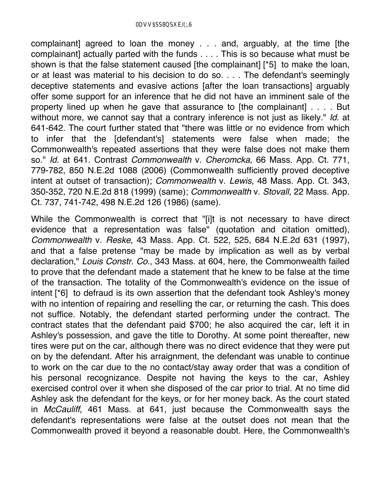complainant] agreed to loan the money . . . and, arguably, at the time [the complainant] actually parted with the funds . . . . This is so because what must be shown is that the false statement caused [the complainant] [\*5] to make the loan, or at least was material to his decision to do so. . . . The defendant's seemingly deceptive statements and evasive actions [after the loan transactions] arguably offer some support for an inference that he did not have an imminent sale of the property lined up when he gave that assurance to [the complainant] . . . . But without more, we cannot say that a contrary inference is not just as likely." *Id.* at 641-642. The court further stated that "there was little or no evidence from which to infer that the [defendant's] statements were false when made; the Commonwealth's repeated assertions that they were false does not make them so." *Id.* at 641. Contrast *Commonwealth* v. *Cheromcka*, 66 Mass. App. Ct. 771, 779-782, 850 N.E.2d 1088 (2006) (Commonwealth sufficiently proved deceptive intent at outset of transaction); *Commonwealth* v. *Lewis*, 48 Mass. App. Ct. 343, 350-352, 720 N.E.2d 818 (1999) (same); *Commonwealth* v. *Stovall*, 22 Mass. App. Ct. 737, 741-742, 498 N.E.2d 126 (1986) (same).

While the Commonwealth is correct that "[i]t is not necessary to have direct evidence that a representation was false" (quotation and citation omitted), *Commonwealth* v. *Reske*, 43 Mass. App. Ct. 522, 525, 684 N.E.2d 631 (1997), and that a false pretense "may be made by implication as well as by verbal declaration," *Louis Constr. Co.*, 343 Mass. at 604, here, the Commonwealth failed to prove that the defendant made a statement that he knew to be false at the time of the transaction. The totality of the Commonwealth's evidence on the issue of intent [\*6] to defraud is its own assertion that the defendant took Ashley's money with no intention of repairing and reselling the car, or returning the cash. This does not suffice. Notably, the defendant started performing under the contract. The contract states that the defendant paid \$700; he also acquired the car, left it in Ashley's possession, and gave the title to Dorothy. At some point thereafter, new tires were put on the car, although there was no direct evidence that they were put on by the defendant. After his arraignment, the defendant was unable to continue to work on the car due to the no contact/stay away order that was a condition of his personal recognizance. Despite not having the keys to the car, Ashley exercised control over it when she disposed of the car prior to trial. At no time did Ashley ask the defendant for the keys, or for her money back. As the court stated in *McCauliff*, 461 Mass. at 641, just because the Commonwealth says the defendant's representations were false at the outset does not mean that the Commonwealth proved it beyond a reasonable doubt. Here, the Commonwealth's